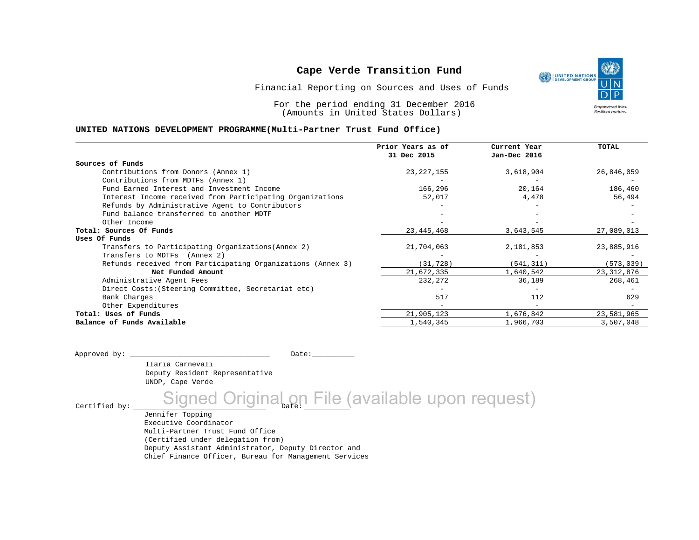UNITED NATIONS **Empowered lives** Resilient nations.

Financial Reporting on Sources and Uses of Funds

For the period ending 31 December 2016 (Amounts in United States Dollars)

#### **UNITED NATIONS DEVELOPMENT PROGRAMME(Multi-Partner Trust Fund Office)**

|                                                             | Prior Years as of<br>31 Dec 2015 | Current Year<br>Jan-Dec 2016 | TOTAL        |
|-------------------------------------------------------------|----------------------------------|------------------------------|--------------|
|                                                             |                                  |                              |              |
| Sources of Funds                                            |                                  |                              |              |
| Contributions from Donors (Annex 1)                         | 23, 227, 155                     | 3,618,904                    | 26,846,059   |
| Contributions from MDTFs (Annex 1)                          |                                  |                              |              |
| Fund Earned Interest and Investment Income                  | 166,296                          | 20,164                       | 186,460      |
| Interest Income received from Participating Organizations   | 52,017                           | 4,478                        | 56,494       |
| Refunds by Administrative Agent to Contributors             |                                  |                              |              |
| Fund balance transferred to another MDTF                    |                                  |                              |              |
| Other Income                                                |                                  |                              |              |
| Total: Sources Of Funds                                     | 23, 445, 468                     | 3,643,545                    | 27,089,013   |
| Uses Of Funds                                               |                                  |                              |              |
| Transfers to Participating Organizations (Annex 2)          | 21,704,063                       | 2,181,853                    | 23,885,916   |
| Transfers to MDTFs (Annex 2)                                |                                  |                              |              |
| Refunds received from Participating Organizations (Annex 3) | (31,728)                         | (541, 311)                   | (573, 039)   |
| Net Funded Amount                                           | 21,672,335                       | 1,640,542                    | 23, 312, 876 |
| Administrative Agent Fees                                   | 232,272                          | 36,189                       | 268,461      |
| Direct Costs: (Steering Committee, Secretariat etc)         |                                  |                              |              |
| Bank Charges                                                | 517                              | 112                          | 629          |
| Other Expenditures                                          |                                  |                              |              |
| Total: Uses of Funds                                        | 21,905,123                       | 1,676,842                    | 23,581,965   |
| Balance of Funds Available                                  | 1,540,345                        | 1,966,703                    | 3,507,048    |

Approved by: \_\_\_\_\_\_\_\_\_\_\_\_\_\_\_\_\_\_\_\_\_\_\_\_\_\_\_\_\_\_\_\_\_ Date:\_\_\_\_\_\_\_\_\_\_

Ilaria Carnevali Deputy Resident Representative UNDP, Cape Verde

Certified by: <u>Signed Original on File</u> (available upon request)

Jennifer Topping Executive Coordinator Multi-Partner Trust Fund Office (Certified under delegation from) Deputy Assistant Administrator, Deputy Director and Chief Finance Officer, Bureau for Management Services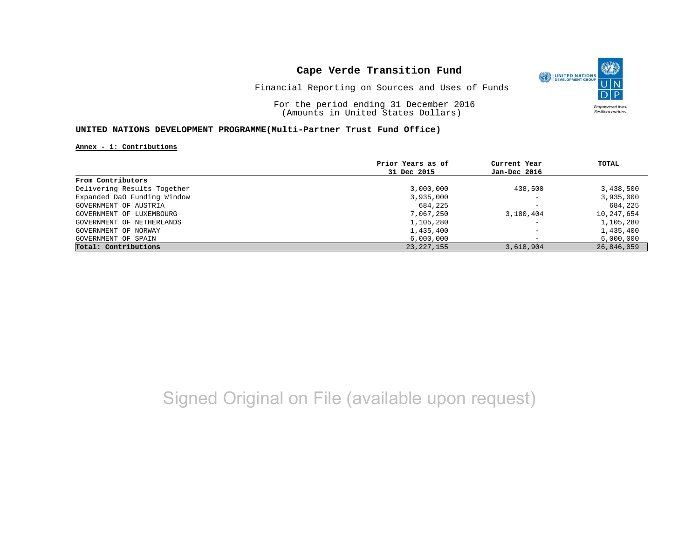

Financial Reporting on Sources and Uses of Funds

For the period ending 31 December 2016 (Amounts in United States Dollars)

### **UNITED NATIONS DEVELOPMENT PROGRAMME(Multi-Partner Trust Fund Office)**

#### **Annex - 1: Contributions**

|                             | Prior Years as of | Current Year             | TOTAL      |
|-----------------------------|-------------------|--------------------------|------------|
|                             | 31 Dec 2015       | Jan-Dec 2016             |            |
| From Contributors           |                   |                          |            |
| Delivering Results Together | 3,000,000         | 438,500                  | 3,438,500  |
| Expanded DaO Funding Window | 3,935,000         | $\overline{\phantom{0}}$ | 3,935,000  |
| GOVERNMENT OF AUSTRIA       | 684,225           | $\qquad \qquad -$        | 684,225    |
| GOVERNMENT OF LUXEMBOURG    | 7,067,250         | 3,180,404                | 10,247,654 |
| GOVERNMENT OF NETHERLANDS   | 1,105,280         | $\overline{\phantom{m}}$ | 1,105,280  |
| GOVERNMENT OF NORWAY        | 1,435,400         | $\overline{\phantom{0}}$ | 1,435,400  |
| GOVERNMENT OF SPAIN         | 6,000,000         | $\overline{\phantom{m}}$ | 6,000,000  |
| Total: Contributions        | 23, 227, 155      | 3,618,904                | 26,846,059 |

# Signed Original on File (available upon request)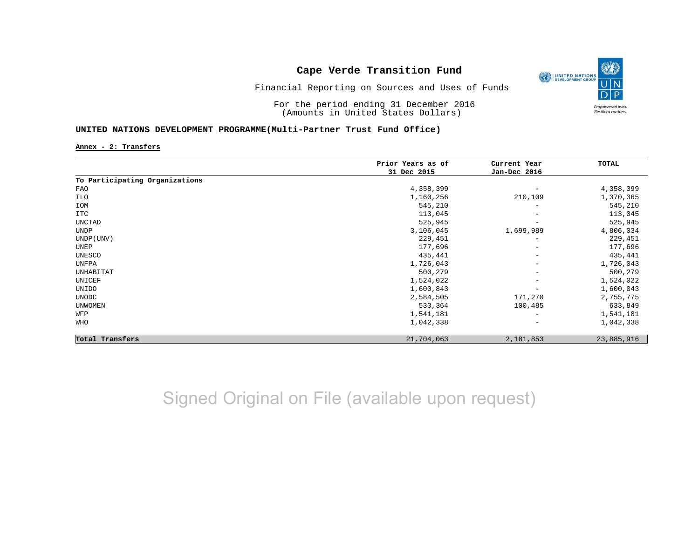

Financial Reporting on Sources and Uses of Funds

For the period ending 31 December 2016 (Amounts in United States Dollars)

### **UNITED NATIONS DEVELOPMENT PROGRAMME(Multi-Partner Trust Fund Office)**

**Annex - 2: Transfers**

|                                | Prior Years as of | Current Year             | TOTAL      |
|--------------------------------|-------------------|--------------------------|------------|
|                                | 31 Dec 2015       | Jan-Dec 2016             |            |
| To Participating Organizations |                   |                          |            |
| FAO                            | 4,358,399         | $\overline{\phantom{a}}$ | 4,358,399  |
| ILO                            | 1,160,256         | 210,109                  | 1,370,365  |
| IOM                            | 545,210           | $\overline{\phantom{m}}$ | 545,210    |
| ITC                            | 113,045           | $\qquad \qquad -$        | 113,045    |
| UNCTAD                         | 525,945           | $\overline{\phantom{m}}$ | 525,945    |
| UNDP                           | 3,106,045         | 1,699,989                | 4,806,034  |
| UNDP (UNV)                     | 229,451           | $\qquad \qquad$          | 229,451    |
| UNEP                           | 177,696           | $\overline{\phantom{m}}$ | 177,696    |
| UNESCO                         | 435,441           | $\overline{\phantom{m}}$ | 435,441    |
| UNFPA                          | 1,726,043         | $\overline{\phantom{m}}$ | 1,726,043  |
| UNHABITAT                      | 500,279           | $\overline{\phantom{m}}$ | 500,279    |
| UNICEF                         | 1,524,022         | $\overline{\phantom{m}}$ | 1,524,022  |
| UNIDO                          | 1,600,843         | $\overline{\phantom{m}}$ | 1,600,843  |
| UNODC                          | 2,584,505         | 171,270                  | 2,755,775  |
| <b>UNWOMEN</b>                 | 533,364           | 100,485                  | 633,849    |
| WFP                            | 1,541,181         |                          | 1,541,181  |
| WHO                            | 1,042,338         | $\qquad \qquad -$        | 1,042,338  |
| Total Transfers                | 21,704,063        | 2,181,853                | 23,885,916 |

Signed Original on File (available upon request)